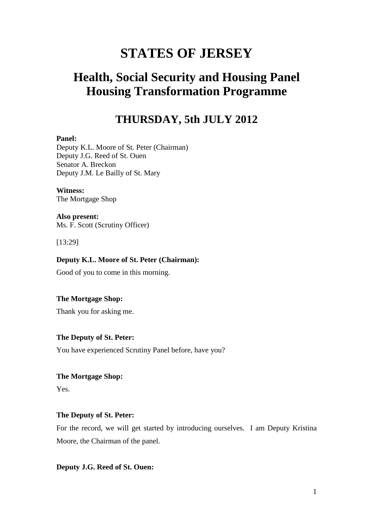## **STATES OF JERSEY**

## **Health, Social Security and Housing Panel Housing Transformation Programme**

## **THURSDAY, 5th JULY 2012**

#### **Panel:**

Deputy K.L. Moore of St. Peter (Chairman) Deputy J.G. Reed of St. Ouen Senator A. Breckon Deputy J.M. Le Bailly of St. Mary

#### **Witness:** The Mortgage Shop

**Also present:**  Ms. F. Scott (Scrutiny Officer)

[13:29]

## **Deputy K.L. Moore of St. Peter (Chairman):**

Good of you to come in this morning.

## **The Mortgage Shop:**

Thank you for asking me.

## **The Deputy of St. Peter:**

You have experienced Scrutiny Panel before, have you?

## **The Mortgage Shop:**

Yes.

## **The Deputy of St. Peter:**

For the record, we will get started by introducing ourselves. I am Deputy Kristina Moore, the Chairman of the panel.

## **Deputy J.G. Reed of St. Ouen:**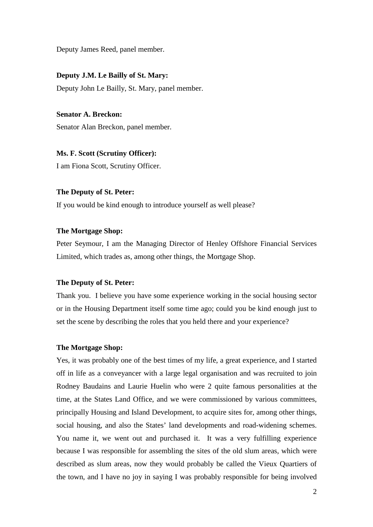Deputy James Reed, panel member.

#### **Deputy J.M. Le Bailly of St. Mary:**

Deputy John Le Bailly, St. Mary, panel member.

**Senator A. Breckon:**

Senator Alan Breckon, panel member.

**Ms. F. Scott (Scrutiny Officer):**

I am Fiona Scott, Scrutiny Officer.

## **The Deputy of St. Peter:**

If you would be kind enough to introduce yourself as well please?

#### **The Mortgage Shop:**

Peter Seymour, I am the Managing Director of Henley Offshore Financial Services Limited, which trades as, among other things, the Mortgage Shop.

#### **The Deputy of St. Peter:**

Thank you. I believe you have some experience working in the social housing sector or in the Housing Department itself some time ago; could you be kind enough just to set the scene by describing the roles that you held there and your experience?

#### **The Mortgage Shop:**

Yes, it was probably one of the best times of my life, a great experience, and I started off in life as a conveyancer with a large legal organisation and was recruited to join Rodney Baudains and Laurie Huelin who were 2 quite famous personalities at the time, at the States Land Office, and we were commissioned by various committees, principally Housing and Island Development, to acquire sites for, among other things, social housing, and also the States' land developments and road-widening schemes. You name it, we went out and purchased it. It was a very fulfilling experience because I was responsible for assembling the sites of the old slum areas, which were described as slum areas, now they would probably be called the Vieux Quartiers of the town, and I have no joy in saying I was probably responsible for being involved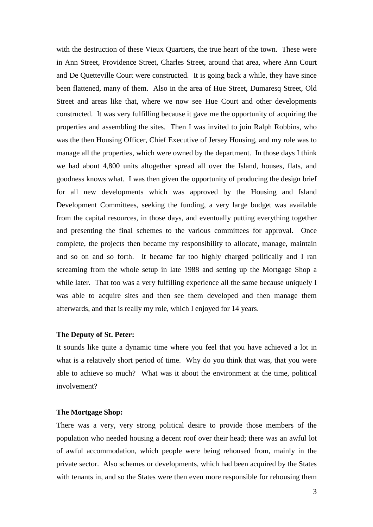with the destruction of these Vieux Quartiers, the true heart of the town. These were in Ann Street, Providence Street, Charles Street, around that area, where Ann Court and De Quetteville Court were constructed. It is going back a while, they have since been flattened, many of them. Also in the area of Hue Street, Dumaresq Street, Old Street and areas like that, where we now see Hue Court and other developments constructed. It was very fulfilling because it gave me the opportunity of acquiring the properties and assembling the sites. Then I was invited to join Ralph Robbins, who was the then Housing Officer, Chief Executive of Jersey Housing, and my role was to manage all the properties, which were owned by the department. In those days I think we had about 4,800 units altogether spread all over the Island, houses, flats, and goodness knows what. I was then given the opportunity of producing the design brief for all new developments which was approved by the Housing and Island Development Committees, seeking the funding, a very large budget was available from the capital resources, in those days, and eventually putting everything together and presenting the final schemes to the various committees for approval. Once complete, the projects then became my responsibility to allocate, manage, maintain and so on and so forth. It became far too highly charged politically and I ran screaming from the whole setup in late 1988 and setting up the Mortgage Shop a while later. That too was a very fulfilling experience all the same because uniquely I was able to acquire sites and then see them developed and then manage them afterwards, and that is really my role, which I enjoyed for 14 years.

#### **The Deputy of St. Peter:**

It sounds like quite a dynamic time where you feel that you have achieved a lot in what is a relatively short period of time. Why do you think that was, that you were able to achieve so much? What was it about the environment at the time, political involvement?

#### **The Mortgage Shop:**

There was a very, very strong political desire to provide those members of the population who needed housing a decent roof over their head; there was an awful lot of awful accommodation, which people were being rehoused from, mainly in the private sector. Also schemes or developments, which had been acquired by the States with tenants in, and so the States were then even more responsible for rehousing them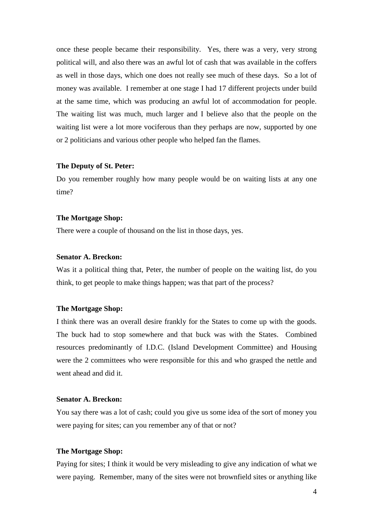once these people became their responsibility. Yes, there was a very, very strong political will, and also there was an awful lot of cash that was available in the coffers as well in those days, which one does not really see much of these days. So a lot of money was available. I remember at one stage I had 17 different projects under build at the same time, which was producing an awful lot of accommodation for people. The waiting list was much, much larger and I believe also that the people on the waiting list were a lot more vociferous than they perhaps are now, supported by one or 2 politicians and various other people who helped fan the flames.

## **The Deputy of St. Peter:**

Do you remember roughly how many people would be on waiting lists at any one time?

#### **The Mortgage Shop:**

There were a couple of thousand on the list in those days, yes.

## **Senator A. Breckon:**

Was it a political thing that, Peter, the number of people on the waiting list, do you think, to get people to make things happen; was that part of the process?

#### **The Mortgage Shop:**

I think there was an overall desire frankly for the States to come up with the goods. The buck had to stop somewhere and that buck was with the States. Combined resources predominantly of I.D.C. (Island Development Committee) and Housing were the 2 committees who were responsible for this and who grasped the nettle and went ahead and did it.

#### **Senator A. Breckon:**

You say there was a lot of cash; could you give us some idea of the sort of money you were paying for sites; can you remember any of that or not?

### **The Mortgage Shop:**

Paying for sites; I think it would be very misleading to give any indication of what we were paying. Remember, many of the sites were not brownfield sites or anything like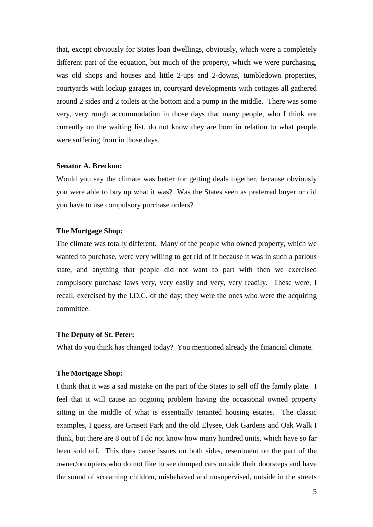that, except obviously for States loan dwellings, obviously, which were a completely different part of the equation, but much of the property, which we were purchasing, was old shops and houses and little 2-ups and 2-downs, tumbledown properties, courtyards with lockup garages in, courtyard developments with cottages all gathered around 2 sides and 2 toilets at the bottom and a pump in the middle. There was some very, very rough accommodation in those days that many people, who I think are currently on the waiting list, do not know they are born in relation to what people were suffering from in those days.

#### **Senator A. Breckon:**

Would you say the climate was better for getting deals together, because obviously you were able to buy up what it was? Was the States seen as preferred buyer or did you have to use compulsory purchase orders?

#### **The Mortgage Shop:**

The climate was totally different. Many of the people who owned property, which we wanted to purchase, were very willing to get rid of it because it was in such a parlous state, and anything that people did not want to part with then we exercised compulsory purchase laws very, very easily and very, very readily. These were, I recall, exercised by the I.D.C. of the day; they were the ones who were the acquiring committee.

#### **The Deputy of St. Peter:**

What do you think has changed today? You mentioned already the financial climate.

## **The Mortgage Shop:**

I think that it was a sad mistake on the part of the States to sell off the family plate. I feel that it will cause an ongoing problem having the occasional owned property sitting in the middle of what is essentially tenanted housing estates. The classic examples, I guess, are Grasett Park and the old Elysee, Oak Gardens and Oak Walk I think, but there are 8 out of I do not know how many hundred units, which have so far been sold off. This does cause issues on both sides, resentment on the part of the owner/occupiers who do not like to see dumped cars outside their doorsteps and have the sound of screaming children, misbehaved and unsupervised, outside in the streets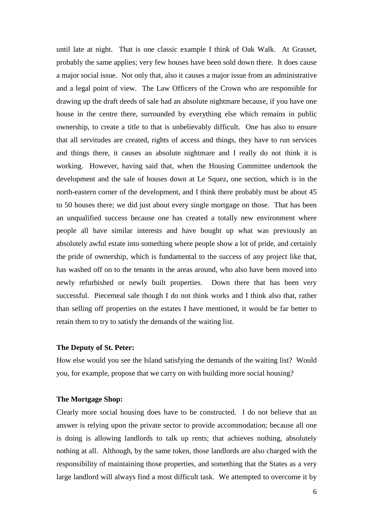until late at night. That is one classic example I think of Oak Walk. At Grasset, probably the same applies; very few houses have been sold down there. It does cause a major social issue. Not only that, also it causes a major issue from an administrative and a legal point of view. The Law Officers of the Crown who are responsible for drawing up the draft deeds of sale had an absolute nightmare because, if you have one house in the centre there, surrounded by everything else which remains in public ownership, to create a title to that is unbelievably difficult. One has also to ensure that all servitudes are created, rights of access and things, they have to run services and things there, it causes an absolute nightmare and I really do not think it is working. However, having said that, when the Housing Committee undertook the development and the sale of houses down at Le Squez, one section, which is in the north-eastern corner of the development, and I think there probably must be about 45 to 50 houses there; we did just about every single mortgage on those. That has been an unqualified success because one has created a totally new environment where people all have similar interests and have bought up what was previously an absolutely awful estate into something where people show a lot of pride, and certainly the pride of ownership, which is fundamental to the success of any project like that, has washed off on to the tenants in the areas around, who also have been moved into newly refurbished or newly built properties. Down there that has been very successful. Piecemeal sale though I do not think works and I think also that, rather than selling off properties on the estates I have mentioned, it would be far better to retain them to try to satisfy the demands of the waiting list.

#### **The Deputy of St. Peter:**

How else would you see the Island satisfying the demands of the waiting list? Would you, for example, propose that we carry on with building more social housing?

#### **The Mortgage Shop:**

Clearly more social housing does have to be constructed. I do not believe that an answer is relying upon the private sector to provide accommodation; because all one is doing is allowing landlords to talk up rents; that achieves nothing, absolutely nothing at all. Although, by the same token, those landlords are also charged with the responsibility of maintaining those properties, and something that the States as a very large landlord will always find a most difficult task. We attempted to overcome it by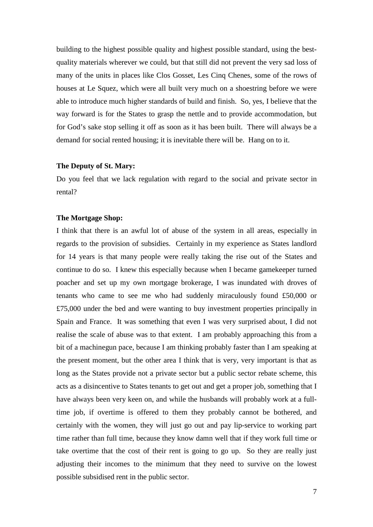building to the highest possible quality and highest possible standard, using the bestquality materials wherever we could, but that still did not prevent the very sad loss of many of the units in places like Clos Gosset, Les Cinq Chenes, some of the rows of houses at Le Squez, which were all built very much on a shoestring before we were able to introduce much higher standards of build and finish. So, yes, I believe that the way forward is for the States to grasp the nettle and to provide accommodation, but for God's sake stop selling it off as soon as it has been built. There will always be a demand for social rented housing; it is inevitable there will be. Hang on to it.

#### **The Deputy of St. Mary:**

Do you feel that we lack regulation with regard to the social and private sector in rental?

#### **The Mortgage Shop:**

I think that there is an awful lot of abuse of the system in all areas, especially in regards to the provision of subsidies. Certainly in my experience as States landlord for 14 years is that many people were really taking the rise out of the States and continue to do so. I knew this especially because when I became gamekeeper turned poacher and set up my own mortgage brokerage, I was inundated with droves of tenants who came to see me who had suddenly miraculously found £50,000 or £75,000 under the bed and were wanting to buy investment properties principally in Spain and France. It was something that even I was very surprised about, I did not realise the scale of abuse was to that extent. I am probably approaching this from a bit of a machinegun pace, because I am thinking probably faster than I am speaking at the present moment, but the other area I think that is very, very important is that as long as the States provide not a private sector but a public sector rebate scheme, this acts as a disincentive to States tenants to get out and get a proper job, something that I have always been very keen on, and while the husbands will probably work at a fulltime job, if overtime is offered to them they probably cannot be bothered, and certainly with the women, they will just go out and pay lip-service to working part time rather than full time, because they know damn well that if they work full time or take overtime that the cost of their rent is going to go up. So they are really just adjusting their incomes to the minimum that they need to survive on the lowest possible subsidised rent in the public sector.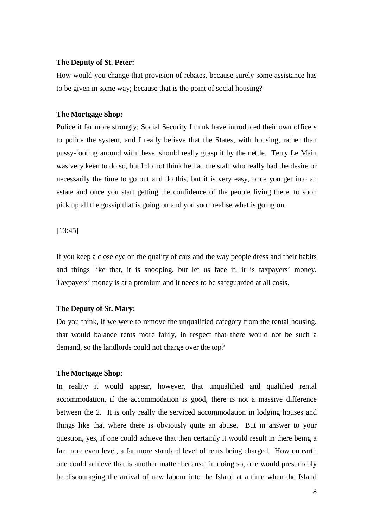#### **The Deputy of St. Peter:**

How would you change that provision of rebates, because surely some assistance has to be given in some way; because that is the point of social housing?

#### **The Mortgage Shop:**

Police it far more strongly; Social Security I think have introduced their own officers to police the system, and I really believe that the States, with housing, rather than pussy-footing around with these, should really grasp it by the nettle. Terry Le Main was very keen to do so, but I do not think he had the staff who really had the desire or necessarily the time to go out and do this, but it is very easy, once you get into an estate and once you start getting the confidence of the people living there, to soon pick up all the gossip that is going on and you soon realise what is going on.

[13:45]

If you keep a close eye on the quality of cars and the way people dress and their habits and things like that, it is snooping, but let us face it, it is taxpayers' money. Taxpayers' money is at a premium and it needs to be safeguarded at all costs.

#### **The Deputy of St. Mary:**

Do you think, if we were to remove the unqualified category from the rental housing, that would balance rents more fairly, in respect that there would not be such a demand, so the landlords could not charge over the top?

#### **The Mortgage Shop:**

In reality it would appear, however, that unqualified and qualified rental accommodation, if the accommodation is good, there is not a massive difference between the 2. It is only really the serviced accommodation in lodging houses and things like that where there is obviously quite an abuse. But in answer to your question, yes, if one could achieve that then certainly it would result in there being a far more even level, a far more standard level of rents being charged. How on earth one could achieve that is another matter because, in doing so, one would presumably be discouraging the arrival of new labour into the Island at a time when the Island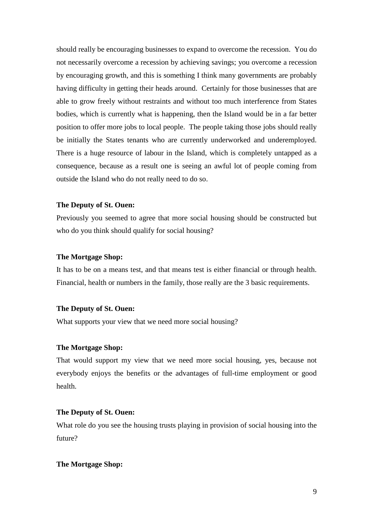should really be encouraging businesses to expand to overcome the recession. You do not necessarily overcome a recession by achieving savings; you overcome a recession by encouraging growth, and this is something I think many governments are probably having difficulty in getting their heads around. Certainly for those businesses that are able to grow freely without restraints and without too much interference from States bodies, which is currently what is happening, then the Island would be in a far better position to offer more jobs to local people. The people taking those jobs should really be initially the States tenants who are currently underworked and underemployed. There is a huge resource of labour in the Island, which is completely untapped as a consequence, because as a result one is seeing an awful lot of people coming from outside the Island who do not really need to do so.

#### **The Deputy of St. Ouen:**

Previously you seemed to agree that more social housing should be constructed but who do you think should qualify for social housing?

## **The Mortgage Shop:**

It has to be on a means test, and that means test is either financial or through health. Financial, health or numbers in the family, those really are the 3 basic requirements.

#### **The Deputy of St. Ouen:**

What supports your view that we need more social housing?

#### **The Mortgage Shop:**

That would support my view that we need more social housing, yes, because not everybody enjoys the benefits or the advantages of full-time employment or good health.

#### **The Deputy of St. Ouen:**

What role do you see the housing trusts playing in provision of social housing into the future?

#### **The Mortgage Shop:**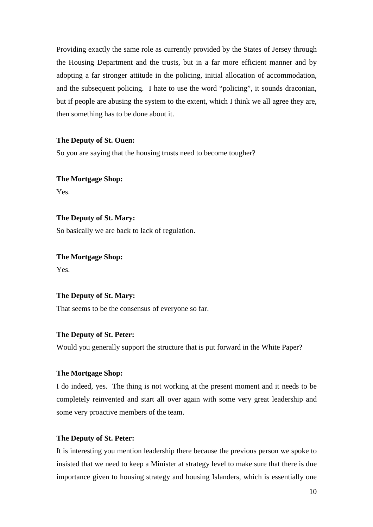Providing exactly the same role as currently provided by the States of Jersey through the Housing Department and the trusts, but in a far more efficient manner and by adopting a far stronger attitude in the policing, initial allocation of accommodation, and the subsequent policing. I hate to use the word "policing", it sounds draconian, but if people are abusing the system to the extent, which I think we all agree they are, then something has to be done about it.

#### **The Deputy of St. Ouen:**

So you are saying that the housing trusts need to become tougher?

## **The Mortgage Shop:** Yes.

## **The Deputy of St. Mary:**

So basically we are back to lack of regulation.

**The Mortgage Shop:** Yes.

## **The Deputy of St. Mary:**

That seems to be the consensus of everyone so far.

#### **The Deputy of St. Peter:**

Would you generally support the structure that is put forward in the White Paper?

#### **The Mortgage Shop:**

I do indeed, yes. The thing is not working at the present moment and it needs to be completely reinvented and start all over again with some very great leadership and some very proactive members of the team.

## **The Deputy of St. Peter:**

It is interesting you mention leadership there because the previous person we spoke to insisted that we need to keep a Minister at strategy level to make sure that there is due importance given to housing strategy and housing Islanders, which is essentially one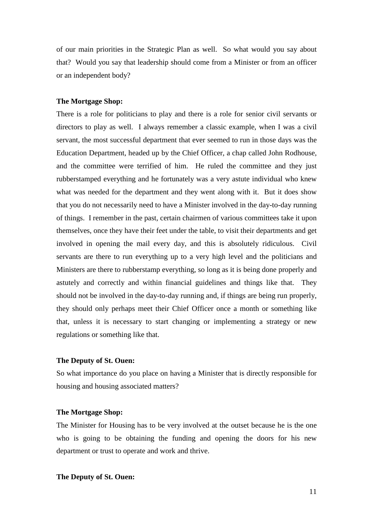of our main priorities in the Strategic Plan as well. So what would you say about that? Would you say that leadership should come from a Minister or from an officer or an independent body?

#### **The Mortgage Shop:**

There is a role for politicians to play and there is a role for senior civil servants or directors to play as well. I always remember a classic example, when I was a civil servant, the most successful department that ever seemed to run in those days was the Education Department, headed up by the Chief Officer, a chap called John Rodhouse, and the committee were terrified of him. He ruled the committee and they just rubberstamped everything and he fortunately was a very astute individual who knew what was needed for the department and they went along with it. But it does show that you do not necessarily need to have a Minister involved in the day-to-day running of things. I remember in the past, certain chairmen of various committees take it upon themselves, once they have their feet under the table, to visit their departments and get involved in opening the mail every day, and this is absolutely ridiculous. Civil servants are there to run everything up to a very high level and the politicians and Ministers are there to rubberstamp everything, so long as it is being done properly and astutely and correctly and within financial guidelines and things like that. They should not be involved in the day-to-day running and, if things are being run properly, they should only perhaps meet their Chief Officer once a month or something like that, unless it is necessary to start changing or implementing a strategy or new regulations or something like that.

### **The Deputy of St. Ouen:**

So what importance do you place on having a Minister that is directly responsible for housing and housing associated matters?

#### **The Mortgage Shop:**

The Minister for Housing has to be very involved at the outset because he is the one who is going to be obtaining the funding and opening the doors for his new department or trust to operate and work and thrive.

#### **The Deputy of St. Ouen:**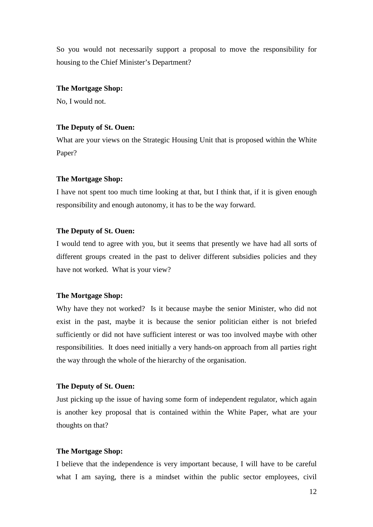So you would not necessarily support a proposal to move the responsibility for housing to the Chief Minister's Department?

#### **The Mortgage Shop:**

No, I would not.

### **The Deputy of St. Ouen:**

What are your views on the Strategic Housing Unit that is proposed within the White Paper?

#### **The Mortgage Shop:**

I have not spent too much time looking at that, but I think that, if it is given enough responsibility and enough autonomy, it has to be the way forward.

#### **The Deputy of St. Ouen:**

I would tend to agree with you, but it seems that presently we have had all sorts of different groups created in the past to deliver different subsidies policies and they have not worked. What is your view?

#### **The Mortgage Shop:**

Why have they not worked? Is it because maybe the senior Minister, who did not exist in the past, maybe it is because the senior politician either is not briefed sufficiently or did not have sufficient interest or was too involved maybe with other responsibilities. It does need initially a very hands-on approach from all parties right the way through the whole of the hierarchy of the organisation.

#### **The Deputy of St. Ouen:**

Just picking up the issue of having some form of independent regulator, which again is another key proposal that is contained within the White Paper, what are your thoughts on that?

#### **The Mortgage Shop:**

I believe that the independence is very important because, I will have to be careful what I am saying, there is a mindset within the public sector employees, civil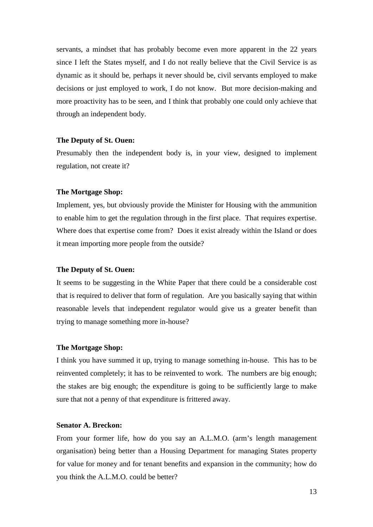servants, a mindset that has probably become even more apparent in the 22 years since I left the States myself, and I do not really believe that the Civil Service is as dynamic as it should be, perhaps it never should be, civil servants employed to make decisions or just employed to work, I do not know. But more decision-making and more proactivity has to be seen, and I think that probably one could only achieve that through an independent body.

#### **The Deputy of St. Ouen:**

Presumably then the independent body is, in your view, designed to implement regulation, not create it?

#### **The Mortgage Shop:**

Implement, yes, but obviously provide the Minister for Housing with the ammunition to enable him to get the regulation through in the first place. That requires expertise. Where does that expertise come from? Does it exist already within the Island or does it mean importing more people from the outside?

#### **The Deputy of St. Ouen:**

It seems to be suggesting in the White Paper that there could be a considerable cost that is required to deliver that form of regulation. Are you basically saying that within reasonable levels that independent regulator would give us a greater benefit than trying to manage something more in-house?

#### **The Mortgage Shop:**

I think you have summed it up, trying to manage something in-house. This has to be reinvented completely; it has to be reinvented to work. The numbers are big enough; the stakes are big enough; the expenditure is going to be sufficiently large to make sure that not a penny of that expenditure is frittered away.

## **Senator A. Breckon:**

From your former life, how do you say an A.L.M.O. (arm's length management organisation) being better than a Housing Department for managing States property for value for money and for tenant benefits and expansion in the community; how do you think the A.L.M.O. could be better?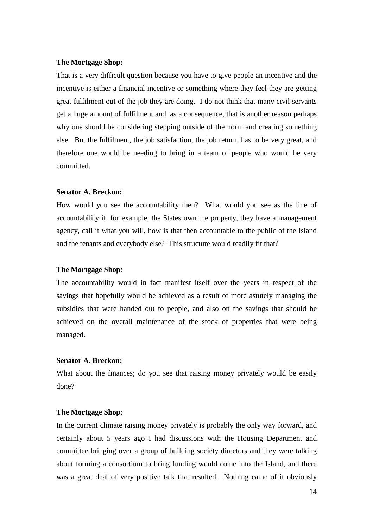#### **The Mortgage Shop:**

That is a very difficult question because you have to give people an incentive and the incentive is either a financial incentive or something where they feel they are getting great fulfilment out of the job they are doing. I do not think that many civil servants get a huge amount of fulfilment and, as a consequence, that is another reason perhaps why one should be considering stepping outside of the norm and creating something else. But the fulfilment, the job satisfaction, the job return, has to be very great, and therefore one would be needing to bring in a team of people who would be very committed.

#### **Senator A. Breckon:**

How would you see the accountability then? What would you see as the line of accountability if, for example, the States own the property, they have a management agency, call it what you will, how is that then accountable to the public of the Island and the tenants and everybody else? This structure would readily fit that?

#### **The Mortgage Shop:**

The accountability would in fact manifest itself over the years in respect of the savings that hopefully would be achieved as a result of more astutely managing the subsidies that were handed out to people, and also on the savings that should be achieved on the overall maintenance of the stock of properties that were being managed.

## **Senator A. Breckon:**

What about the finances; do you see that raising money privately would be easily done?

#### **The Mortgage Shop:**

In the current climate raising money privately is probably the only way forward, and certainly about 5 years ago I had discussions with the Housing Department and committee bringing over a group of building society directors and they were talking about forming a consortium to bring funding would come into the Island, and there was a great deal of very positive talk that resulted. Nothing came of it obviously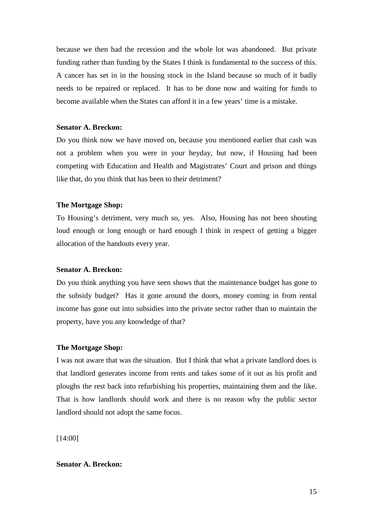because we then had the recession and the whole lot was abandoned. But private funding rather than funding by the States I think is fundamental to the success of this. A cancer has set in in the housing stock in the Island because so much of it badly needs to be repaired or replaced. It has to be done now and waiting for funds to become available when the States can afford it in a few years' time is a mistake.

## **Senator A. Breckon:**

Do you think now we have moved on, because you mentioned earlier that cash was not a problem when you were in your heyday, but now, if Housing had been competing with Education and Health and Magistrates' Court and prison and things like that, do you think that has been to their detriment?

#### **The Mortgage Shop:**

To Housing's detriment, very much so, yes. Also, Housing has not been shouting loud enough or long enough or hard enough I think in respect of getting a bigger allocation of the handouts every year.

#### **Senator A. Breckon:**

Do you think anything you have seen shows that the maintenance budget has gone to the subsidy budget? Has it gone around the doors, money coming in from rental income has gone out into subsidies into the private sector rather than to maintain the property, have you any knowledge of that?

#### **The Mortgage Shop:**

I was not aware that was the situation. But I think that what a private landlord does is that landlord generates income from rents and takes some of it out as his profit and ploughs the rest back into refurbishing his properties, maintaining them and the like. That is how landlords should work and there is no reason why the public sector landlord should not adopt the same focus.

[14:00]

## **Senator A. Breckon:**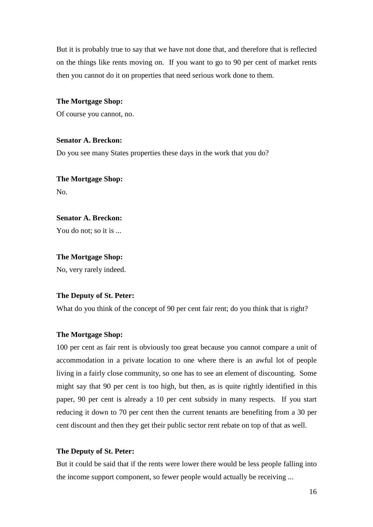But it is probably true to say that we have not done that, and therefore that is reflected on the things like rents moving on. If you want to go to 90 per cent of market rents then you cannot do it on properties that need serious work done to them.

#### **The Mortgage Shop:**

Of course you cannot, no.

#### **Senator A. Breckon:**

Do you see many States properties these days in the work that you do?

## **The Mortgage Shop:** No.

#### **Senator A. Breckon:**

You do not; so it is ...

### **The Mortgage Shop:**

No, very rarely indeed.

#### **The Deputy of St. Peter:**

What do you think of the concept of 90 per cent fair rent; do you think that is right?

#### **The Mortgage Shop:**

100 per cent as fair rent is obviously too great because you cannot compare a unit of accommodation in a private location to one where there is an awful lot of people living in a fairly close community, so one has to see an element of discounting. Some might say that 90 per cent is too high, but then, as is quite rightly identified in this paper, 90 per cent is already a 10 per cent subsidy in many respects. If you start reducing it down to 70 per cent then the current tenants are benefiting from a 30 per cent discount and then they get their public sector rent rebate on top of that as well.

#### **The Deputy of St. Peter:**

But it could be said that if the rents were lower there would be less people falling into the income support component, so fewer people would actually be receiving ...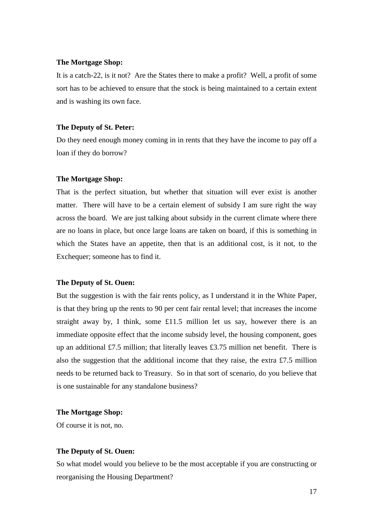#### **The Mortgage Shop:**

It is a catch-22, is it not? Are the States there to make a profit? Well, a profit of some sort has to be achieved to ensure that the stock is being maintained to a certain extent and is washing its own face.

### **The Deputy of St. Peter:**

Do they need enough money coming in in rents that they have the income to pay off a loan if they do borrow?

#### **The Mortgage Shop:**

That is the perfect situation, but whether that situation will ever exist is another matter. There will have to be a certain element of subsidy I am sure right the way across the board. We are just talking about subsidy in the current climate where there are no loans in place, but once large loans are taken on board, if this is something in which the States have an appetite, then that is an additional cost, is it not, to the Exchequer; someone has to find it.

#### **The Deputy of St. Ouen:**

But the suggestion is with the fair rents policy, as I understand it in the White Paper, is that they bring up the rents to 90 per cent fair rental level; that increases the income straight away by, I think, some £11.5 million let us say, however there is an immediate opposite effect that the income subsidy level, the housing component, goes up an additional £7.5 million; that literally leaves £3.75 million net benefit. There is also the suggestion that the additional income that they raise, the extra £7.5 million needs to be returned back to Treasury. So in that sort of scenario, do you believe that is one sustainable for any standalone business?

#### **The Mortgage Shop:**

Of course it is not, no.

#### **The Deputy of St. Ouen:**

So what model would you believe to be the most acceptable if you are constructing or reorganising the Housing Department?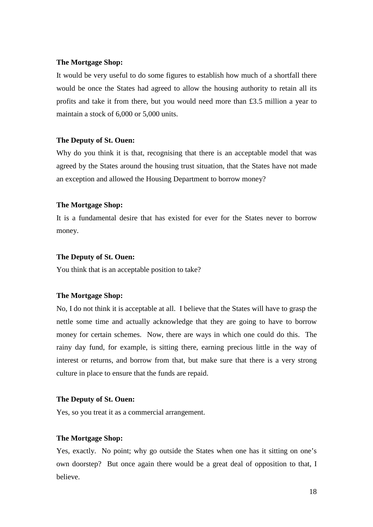#### **The Mortgage Shop:**

It would be very useful to do some figures to establish how much of a shortfall there would be once the States had agreed to allow the housing authority to retain all its profits and take it from there, but you would need more than £3.5 million a year to maintain a stock of 6,000 or 5,000 units.

## **The Deputy of St. Ouen:**

Why do you think it is that, recognising that there is an acceptable model that was agreed by the States around the housing trust situation, that the States have not made an exception and allowed the Housing Department to borrow money?

#### **The Mortgage Shop:**

It is a fundamental desire that has existed for ever for the States never to borrow money.

#### **The Deputy of St. Ouen:**

You think that is an acceptable position to take?

## **The Mortgage Shop:**

No, I do not think it is acceptable at all. I believe that the States will have to grasp the nettle some time and actually acknowledge that they are going to have to borrow money for certain schemes. Now, there are ways in which one could do this. The rainy day fund, for example, is sitting there, earning precious little in the way of interest or returns, and borrow from that, but make sure that there is a very strong culture in place to ensure that the funds are repaid.

#### **The Deputy of St. Ouen:**

Yes, so you treat it as a commercial arrangement.

#### **The Mortgage Shop:**

Yes, exactly. No point; why go outside the States when one has it sitting on one's own doorstep? But once again there would be a great deal of opposition to that, I believe.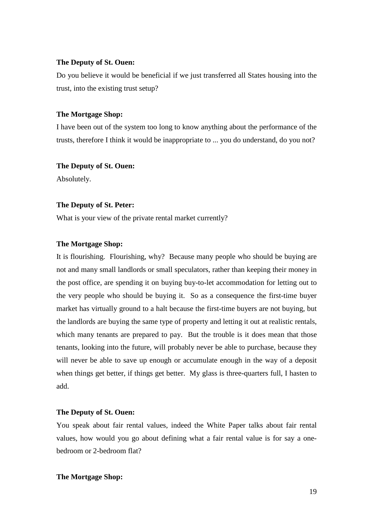#### **The Deputy of St. Ouen:**

Do you believe it would be beneficial if we just transferred all States housing into the trust, into the existing trust setup?

#### **The Mortgage Shop:**

I have been out of the system too long to know anything about the performance of the trusts, therefore I think it would be inappropriate to ... you do understand, do you not?

#### **The Deputy of St. Ouen:**

Absolutely.

#### **The Deputy of St. Peter:**

What is your view of the private rental market currently?

#### **The Mortgage Shop:**

It is flourishing. Flourishing, why? Because many people who should be buying are not and many small landlords or small speculators, rather than keeping their money in the post office, are spending it on buying buy-to-let accommodation for letting out to the very people who should be buying it. So as a consequence the first-time buyer market has virtually ground to a halt because the first-time buyers are not buying, but the landlords are buying the same type of property and letting it out at realistic rentals, which many tenants are prepared to pay. But the trouble is it does mean that those tenants, looking into the future, will probably never be able to purchase, because they will never be able to save up enough or accumulate enough in the way of a deposit when things get better, if things get better. My glass is three-quarters full, I hasten to add.

#### **The Deputy of St. Ouen:**

You speak about fair rental values, indeed the White Paper talks about fair rental values, how would you go about defining what a fair rental value is for say a onebedroom or 2-bedroom flat?

#### **The Mortgage Shop:**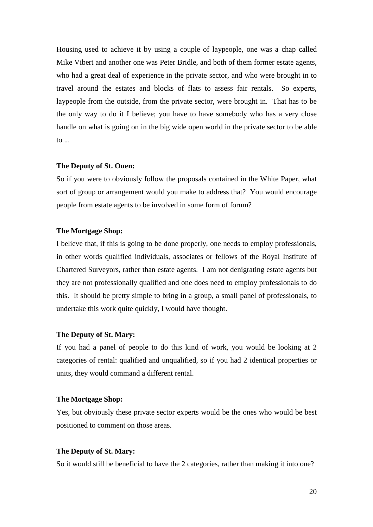Housing used to achieve it by using a couple of laypeople, one was a chap called Mike Vibert and another one was Peter Bridle, and both of them former estate agents, who had a great deal of experience in the private sector, and who were brought in to travel around the estates and blocks of flats to assess fair rentals. So experts, laypeople from the outside, from the private sector, were brought in. That has to be the only way to do it I believe; you have to have somebody who has a very close handle on what is going on in the big wide open world in the private sector to be able to ...

#### **The Deputy of St. Ouen:**

So if you were to obviously follow the proposals contained in the White Paper, what sort of group or arrangement would you make to address that? You would encourage people from estate agents to be involved in some form of forum?

#### **The Mortgage Shop:**

I believe that, if this is going to be done properly, one needs to employ professionals, in other words qualified individuals, associates or fellows of the Royal Institute of Chartered Surveyors, rather than estate agents. I am not denigrating estate agents but they are not professionally qualified and one does need to employ professionals to do this. It should be pretty simple to bring in a group, a small panel of professionals, to undertake this work quite quickly, I would have thought.

#### **The Deputy of St. Mary:**

If you had a panel of people to do this kind of work, you would be looking at 2 categories of rental: qualified and unqualified, so if you had 2 identical properties or units, they would command a different rental.

#### **The Mortgage Shop:**

Yes, but obviously these private sector experts would be the ones who would be best positioned to comment on those areas.

#### **The Deputy of St. Mary:**

So it would still be beneficial to have the 2 categories, rather than making it into one?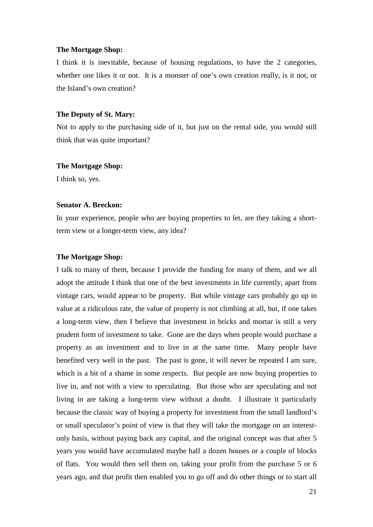#### **The Mortgage Shop:**

I think it is inevitable, because of housing regulations, to have the 2 categories, whether one likes it or not. It is a monster of one's own creation really, is it not, or the Island's own creation?

#### **The Deputy of St. Mary:**

Not to apply to the purchasing side of it, but just on the rental side, you would still think that was quite important?

#### **The Mortgage Shop:**

I think so, yes.

## **Senator A. Breckon:**

In your experience, people who are buying properties to let, are they taking a shortterm view or a longer-term view, any idea?

## **The Mortgage Shop:**

I talk to many of them, because I provide the funding for many of them, and we all adopt the attitude I think that one of the best investments in life currently, apart from vintage cars, would appear to be property. But while vintage cars probably go up in value at a ridiculous rate, the value of property is not climbing at all, but, if one takes a long-term view, then I believe that investment in bricks and mortar is still a very prudent form of investment to take. Gone are the days when people would purchase a property as an investment and to live in at the same time. Many people have benefited very well in the past. The past is gone, it will never be repeated I am sure, which is a bit of a shame in some respects. But people are now buying properties to live in, and not with a view to speculating. But those who are speculating and not living in are taking a long-term view without a doubt. I illustrate it particularly because the classic way of buying a property for investment from the small landlord's or small speculator's point of view is that they will take the mortgage on an interestonly basis, without paying back any capital, and the original concept was that after 5 years you would have accumulated maybe half a dozen houses or a couple of blocks of flats. You would then sell them on, taking your profit from the purchase 5 or 6 years ago, and that profit then enabled you to go off and do other things or to start all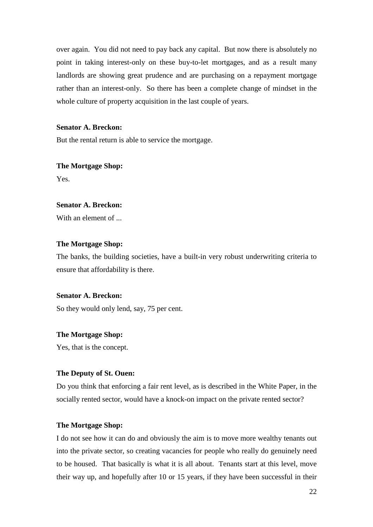over again. You did not need to pay back any capital. But now there is absolutely no point in taking interest-only on these buy-to-let mortgages, and as a result many landlords are showing great prudence and are purchasing on a repayment mortgage rather than an interest-only. So there has been a complete change of mindset in the whole culture of property acquisition in the last couple of years.

## **Senator A. Breckon:**

But the rental return is able to service the mortgage.

# **The Mortgage Shop:**

Yes.

## **Senator A. Breckon:**

With an element of

## **The Mortgage Shop:**

The banks, the building societies, have a built-in very robust underwriting criteria to ensure that affordability is there.

#### **Senator A. Breckon:**

So they would only lend, say, 75 per cent.

#### **The Mortgage Shop:**

Yes, that is the concept.

#### **The Deputy of St. Ouen:**

Do you think that enforcing a fair rent level, as is described in the White Paper, in the socially rented sector, would have a knock-on impact on the private rented sector?

## **The Mortgage Shop:**

I do not see how it can do and obviously the aim is to move more wealthy tenants out into the private sector, so creating vacancies for people who really do genuinely need to be housed. That basically is what it is all about. Tenants start at this level, move their way up, and hopefully after 10 or 15 years, if they have been successful in their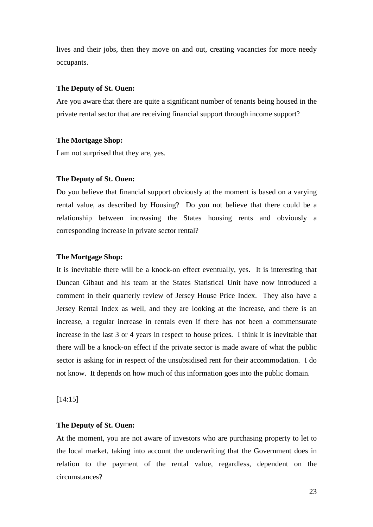lives and their jobs, then they move on and out, creating vacancies for more needy occupants.

#### **The Deputy of St. Ouen:**

Are you aware that there are quite a significant number of tenants being housed in the private rental sector that are receiving financial support through income support?

#### **The Mortgage Shop:**

I am not surprised that they are, yes.

#### **The Deputy of St. Ouen:**

Do you believe that financial support obviously at the moment is based on a varying rental value, as described by Housing? Do you not believe that there could be a relationship between increasing the States housing rents and obviously a corresponding increase in private sector rental?

## **The Mortgage Shop:**

It is inevitable there will be a knock-on effect eventually, yes. It is interesting that Duncan Gibaut and his team at the States Statistical Unit have now introduced a comment in their quarterly review of Jersey House Price Index. They also have a Jersey Rental Index as well, and they are looking at the increase, and there is an increase, a regular increase in rentals even if there has not been a commensurate increase in the last 3 or 4 years in respect to house prices. I think it is inevitable that there will be a knock-on effect if the private sector is made aware of what the public sector is asking for in respect of the unsubsidised rent for their accommodation. I do not know. It depends on how much of this information goes into the public domain.

[14:15]

#### **The Deputy of St. Ouen:**

At the moment, you are not aware of investors who are purchasing property to let to the local market, taking into account the underwriting that the Government does in relation to the payment of the rental value, regardless, dependent on the circumstances?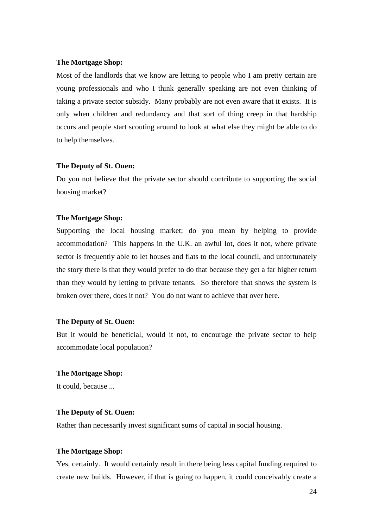#### **The Mortgage Shop:**

Most of the landlords that we know are letting to people who I am pretty certain are young professionals and who I think generally speaking are not even thinking of taking a private sector subsidy. Many probably are not even aware that it exists. It is only when children and redundancy and that sort of thing creep in that hardship occurs and people start scouting around to look at what else they might be able to do to help themselves.

#### **The Deputy of St. Ouen:**

Do you not believe that the private sector should contribute to supporting the social housing market?

#### **The Mortgage Shop:**

Supporting the local housing market; do you mean by helping to provide accommodation? This happens in the U.K. an awful lot, does it not, where private sector is frequently able to let houses and flats to the local council, and unfortunately the story there is that they would prefer to do that because they get a far higher return than they would by letting to private tenants. So therefore that shows the system is broken over there, does it not? You do not want to achieve that over here.

#### **The Deputy of St. Ouen:**

But it would be beneficial, would it not, to encourage the private sector to help accommodate local population?

#### **The Mortgage Shop:**

It could, because ...

#### **The Deputy of St. Ouen:**

Rather than necessarily invest significant sums of capital in social housing.

#### **The Mortgage Shop:**

Yes, certainly. It would certainly result in there being less capital funding required to create new builds. However, if that is going to happen, it could conceivably create a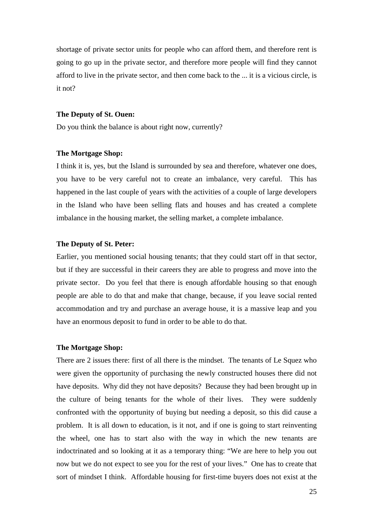shortage of private sector units for people who can afford them, and therefore rent is going to go up in the private sector, and therefore more people will find they cannot afford to live in the private sector, and then come back to the ... it is a vicious circle, is it not?

#### **The Deputy of St. Ouen:**

Do you think the balance is about right now, currently?

#### **The Mortgage Shop:**

I think it is, yes, but the Island is surrounded by sea and therefore, whatever one does, you have to be very careful not to create an imbalance, very careful. This has happened in the last couple of years with the activities of a couple of large developers in the Island who have been selling flats and houses and has created a complete imbalance in the housing market, the selling market, a complete imbalance.

#### **The Deputy of St. Peter:**

Earlier, you mentioned social housing tenants; that they could start off in that sector, but if they are successful in their careers they are able to progress and move into the private sector. Do you feel that there is enough affordable housing so that enough people are able to do that and make that change, because, if you leave social rented accommodation and try and purchase an average house, it is a massive leap and you have an enormous deposit to fund in order to be able to do that.

#### **The Mortgage Shop:**

There are 2 issues there: first of all there is the mindset. The tenants of Le Squez who were given the opportunity of purchasing the newly constructed houses there did not have deposits. Why did they not have deposits? Because they had been brought up in the culture of being tenants for the whole of their lives. They were suddenly confronted with the opportunity of buying but needing a deposit, so this did cause a problem. It is all down to education, is it not, and if one is going to start reinventing the wheel, one has to start also with the way in which the new tenants are indoctrinated and so looking at it as a temporary thing: "We are here to help you out now but we do not expect to see you for the rest of your lives." One has to create that sort of mindset I think. Affordable housing for first-time buyers does not exist at the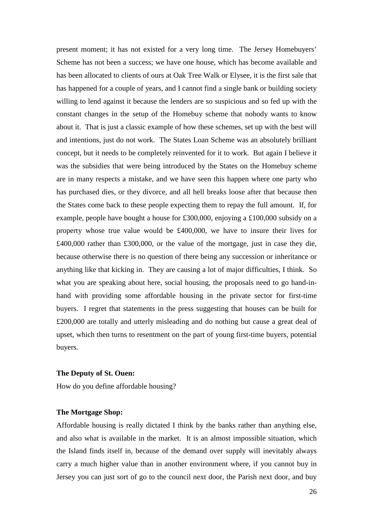present moment; it has not existed for a very long time. The Jersey Homebuyers' Scheme has not been a success; we have one house, which has become available and has been allocated to clients of ours at Oak Tree Walk or Elysee, it is the first sale that has happened for a couple of years, and I cannot find a single bank or building society willing to lend against it because the lenders are so suspicious and so fed up with the constant changes in the setup of the Homebuy scheme that nobody wants to know about it. That is just a classic example of how these schemes, set up with the best will and intentions, just do not work. The States Loan Scheme was an absolutely brilliant concept, but it needs to be completely reinvented for it to work. But again I believe it was the subsidies that were being introduced by the States on the Homebuy scheme are in many respects a mistake, and we have seen this happen where one party who has purchased dies, or they divorce, and all hell breaks loose after that because then the States come back to these people expecting them to repay the full amount. If, for example, people have bought a house for £300,000, enjoying a £100,000 subsidy on a property whose true value would be £400,000, we have to insure their lives for £400,000 rather than £300,000, or the value of the mortgage, just in case they die, because otherwise there is no question of there being any succession or inheritance or anything like that kicking in. They are causing a lot of major difficulties, I think. So what you are speaking about here, social housing, the proposals need to go hand-inhand with providing some affordable housing in the private sector for first-time buyers. I regret that statements in the press suggesting that houses can be built for £200,000 are totally and utterly misleading and do nothing but cause a great deal of upset, which then turns to resentment on the part of young first-time buyers, potential buyers.

#### **The Deputy of St. Ouen:**

How do you define affordable housing?

#### **The Mortgage Shop:**

Affordable housing is really dictated I think by the banks rather than anything else, and also what is available in the market. It is an almost impossible situation, which the Island finds itself in, because of the demand over supply will inevitably always carry a much higher value than in another environment where, if you cannot buy in Jersey you can just sort of go to the council next door, the Parish next door, and buy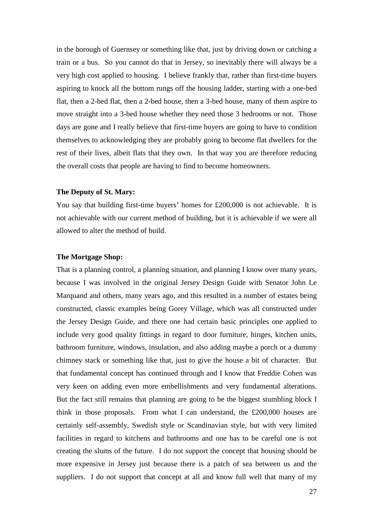in the borough of Guernsey or something like that, just by driving down or catching a train or a bus. So you cannot do that in Jersey, so inevitably there will always be a very high cost applied to housing. I believe frankly that, rather than first-time buyers aspiring to knock all the bottom rungs off the housing ladder, starting with a one-bed flat, then a 2-bed flat, then a 2-bed house, then a 3-bed house, many of them aspire to move straight into a 3-bed house whether they need those 3 bedrooms or not. Those days are gone and I really believe that first-time buyers are going to have to condition themselves to acknowledging they are probably going to become flat dwellers for the rest of their lives, albeit flats that they own. In that way you are therefore reducing the overall costs that people are having to find to become homeowners.

#### **The Deputy of St. Mary:**

You say that building first-time buyers' homes for £200,000 is not achievable. It is not achievable with our current method of building, but it is achievable if we were all allowed to alter the method of build.

## **The Mortgage Shop:**

That is a planning control, a planning situation, and planning I know over many years, because I was involved in the original Jersey Design Guide with Senator John Le Marquand and others, many years ago, and this resulted in a number of estates being constructed, classic examples being Gorey Village, which was all constructed under the Jersey Design Guide, and there one had certain basic principles one applied to include very good quality fittings in regard to door furniture, hinges, kitchen units, bathroom furniture, windows, insulation, and also adding maybe a porch or a dummy chimney stack or something like that, just to give the house a bit of character. But that fundamental concept has continued through and I know that Freddie Cohen was very keen on adding even more embellishments and very fundamental alterations. But the fact still remains that planning are going to be the biggest stumbling block I think in those proposals. From what I can understand, the £200,000 houses are certainly self-assembly, Swedish style or Scandinavian style, but with very limited facilities in regard to kitchens and bathrooms and one has to be careful one is not creating the slums of the future. I do not support the concept that housing should be more expensive in Jersey just because there is a patch of sea between us and the suppliers. I do not support that concept at all and know full well that many of my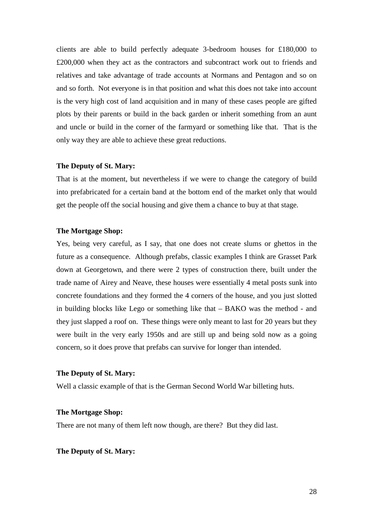clients are able to build perfectly adequate 3-bedroom houses for £180,000 to £200,000 when they act as the contractors and subcontract work out to friends and relatives and take advantage of trade accounts at Normans and Pentagon and so on and so forth. Not everyone is in that position and what this does not take into account is the very high cost of land acquisition and in many of these cases people are gifted plots by their parents or build in the back garden or inherit something from an aunt and uncle or build in the corner of the farmyard or something like that. That is the only way they are able to achieve these great reductions.

#### **The Deputy of St. Mary:**

That is at the moment, but nevertheless if we were to change the category of build into prefabricated for a certain band at the bottom end of the market only that would get the people off the social housing and give them a chance to buy at that stage.

#### **The Mortgage Shop:**

Yes, being very careful, as I say, that one does not create slums or ghettos in the future as a consequence. Although prefabs, classic examples I think are Grasset Park down at Georgetown, and there were 2 types of construction there, built under the trade name of Airey and Neave, these houses were essentially 4 metal posts sunk into concrete foundations and they formed the 4 corners of the house, and you just slotted in building blocks like Lego or something like that – BAKO was the method - and they just slapped a roof on. These things were only meant to last for 20 years but they were built in the very early 1950s and are still up and being sold now as a going concern, so it does prove that prefabs can survive for longer than intended.

#### **The Deputy of St. Mary:**

Well a classic example of that is the German Second World War billeting huts.

#### **The Mortgage Shop:**

There are not many of them left now though, are there? But they did last.

### **The Deputy of St. Mary:**